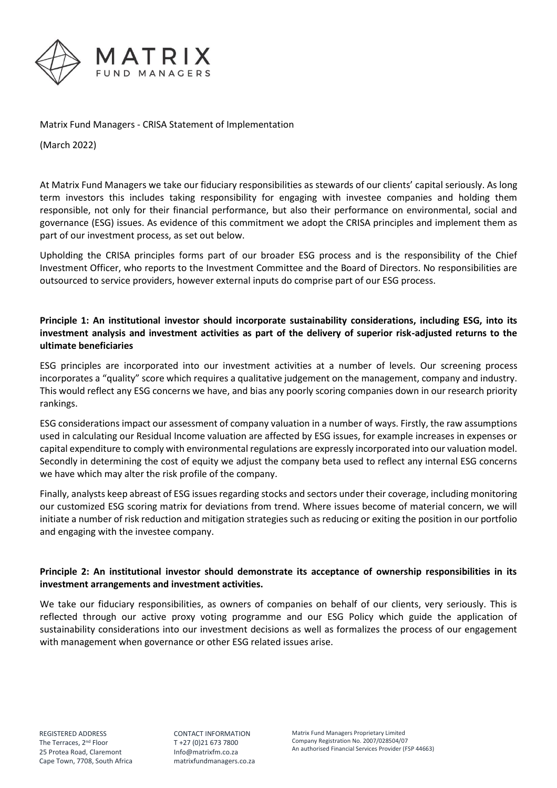

Matrix Fund Managers - CRISA Statement of Implementation

(March 2022)

At Matrix Fund Managers we take our fiduciary responsibilities as stewards of our clients' capital seriously. As long term investors this includes taking responsibility for engaging with investee companies and holding them responsible, not only for their financial performance, but also their performance on environmental, social and governance (ESG) issues. As evidence of this commitment we adopt the CRISA principles and implement them as part of our investment process, as set out below.

Upholding the CRISA principles forms part of our broader ESG process and is the responsibility of the Chief Investment Officer, who reports to the Investment Committee and the Board of Directors. No responsibilities are outsourced to service providers, however external inputs do comprise part of our ESG process.

## **Principle 1: An institutional investor should incorporate sustainability considerations, including ESG, into its investment analysis and investment activities as part of the delivery of superior risk-adjusted returns to the ultimate beneficiaries**

ESG principles are incorporated into our investment activities at a number of levels. Our screening process incorporates a "quality" score which requires a qualitative judgement on the management, company and industry. This would reflect any ESG concerns we have, and bias any poorly scoring companies down in our research priority rankings.

ESG considerations impact our assessment of company valuation in a number of ways. Firstly, the raw assumptions used in calculating our Residual Income valuation are affected by ESG issues, for example increases in expenses or capital expenditure to comply with environmental regulations are expressly incorporated into our valuation model. Secondly in determining the cost of equity we adjust the company beta used to reflect any internal ESG concerns we have which may alter the risk profile of the company.

Finally, analysts keep abreast of ESG issues regarding stocks and sectors under their coverage, including monitoring our customized ESG scoring matrix for deviations from trend. Where issues become of material concern, we will initiate a number of risk reduction and mitigation strategies such as reducing or exiting the position in our portfolio and engaging with the investee company.

## **Principle 2: An institutional investor should demonstrate its acceptance of ownership responsibilities in its investment arrangements and investment activities.**

We take our fiduciary responsibilities, as owners of companies on behalf of our clients, very seriously. This is reflected through our active proxy voting programme and our ESG Policy which guide the application of sustainability considerations into our investment decisions as well as formalizes the process of our engagement with management when governance or other ESG related issues arise.

CONTACT INFORMATION T +27 (0)21 673 7800 [Info@matrixfm.co.za](mailto:Info@matrixfm.co.za) matrixfundmanagers.co.za